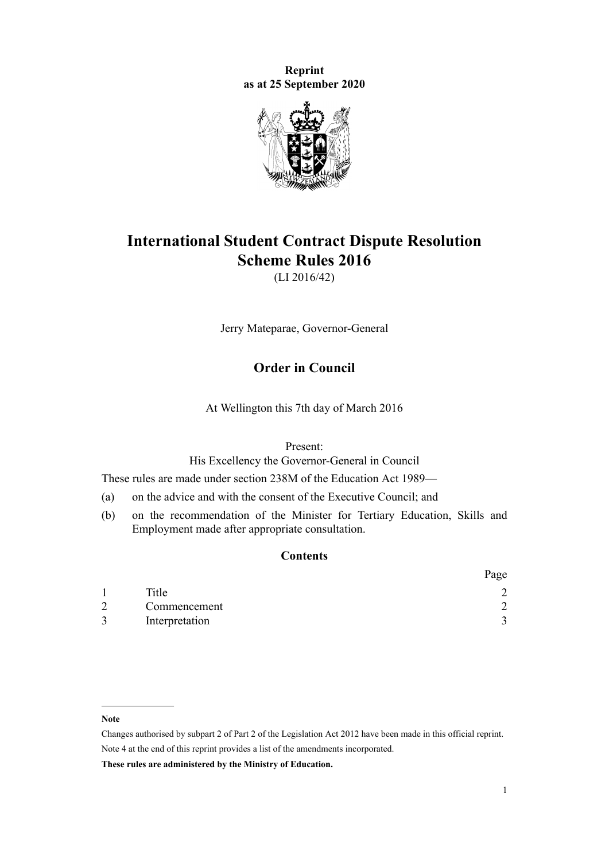**Reprint as at 25 September 2020**



# **International Student Contract Dispute Resolution Scheme Rules 2016**

(LI 2016/42)

Jerry Mateparae, Governor-General

# **Order in Council**

At Wellington this 7th day of March 2016

Present:

His Excellency the Governor-General in Council

These rules are made under [section 238M](http://legislation.govt.nz/pdflink.aspx?id=DLM6890472) of the [Education Act 1989—](http://legislation.govt.nz/pdflink.aspx?id=DLM175958)

- (a) on the advice and with the consent of the Executive Council; and
- (b) on the recommendation of the Minister for Tertiary Education, Skills and Employment made after appropriate consultation.

# **Contents**

|   |                | Page |
|---|----------------|------|
|   | Title          |      |
| 2 | Commencement   |      |
|   | Interpretation |      |

#### **Note**

**These rules are administered by the Ministry of Education.**

Changes authorised by [subpart 2](http://legislation.govt.nz/pdflink.aspx?id=DLM2998524) of Part 2 of the Legislation Act 2012 have been made in this official reprint. Note 4 at the end of this reprint provides a list of the amendments incorporated.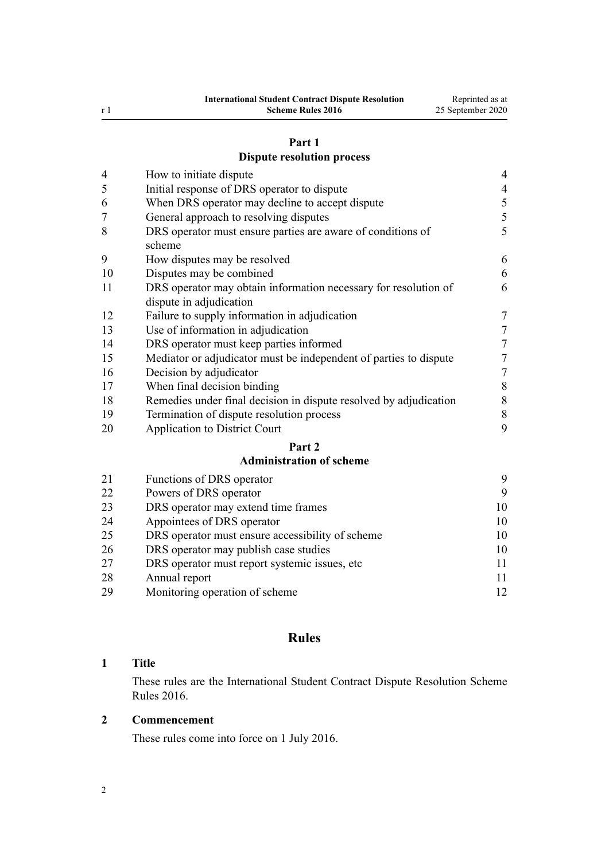# **[Part 1](#page-3-0)**

# **[Dispute resolution process](#page-3-0)**

<span id="page-1-0"></span>

| $\overline{4}$ | How to initiate dispute                                                                    | $\overline{4}$ |
|----------------|--------------------------------------------------------------------------------------------|----------------|
| 5              | Initial response of DRS operator to dispute                                                | $\overline{4}$ |
| 6              | When DRS operator may decline to accept dispute                                            | 5              |
| 7              | General approach to resolving disputes                                                     | 5              |
| 8              | DRS operator must ensure parties are aware of conditions of<br>scheme                      | 5              |
| 9              | How disputes may be resolved                                                               | 6              |
| 10             | Disputes may be combined                                                                   | 6              |
| 11             | DRS operator may obtain information necessary for resolution of<br>dispute in adjudication | 6              |
| 12             | Failure to supply information in adjudication                                              | 7              |
| 13             | Use of information in adjudication                                                         | 7              |
| 14             | DRS operator must keep parties informed                                                    | 7              |
| 15             | Mediator or adjudicator must be independent of parties to dispute                          | 7              |
| 16             | Decision by adjudicator                                                                    | 7              |
| 17             | When final decision binding                                                                | $\,$ $\,$      |
| 18             | Remedies under final decision in dispute resolved by adjudication                          | 8              |
| 19             | Termination of dispute resolution process                                                  | 8              |
| 20             | <b>Application to District Court</b>                                                       | 9              |
|                | Part 2                                                                                     |                |
|                | <b>Administration of scheme</b>                                                            |                |
| 21             | Functions of DRS operator                                                                  | 9              |

| 21 | Functions of DRS operator                        | 9  |
|----|--------------------------------------------------|----|
| 22 | Powers of DRS operator                           | 9  |
| 23 | DRS operator may extend time frames              | 10 |
| 24 | Appointees of DRS operator                       | 10 |
| 25 | DRS operator must ensure accessibility of scheme | 10 |
| 26 | DRS operator may publish case studies            | 10 |
| 27 | DRS operator must report systemic issues, etc.   | 11 |
| 28 | Annual report                                    | 11 |
| 29 | Monitoring operation of scheme                   | 12 |
|    |                                                  |    |

# **Rules**

# **Title**

These rules are the International Student Contract Dispute Resolution Scheme Rules 2016.

# **Commencement**

These rules come into force on 1 July 2016.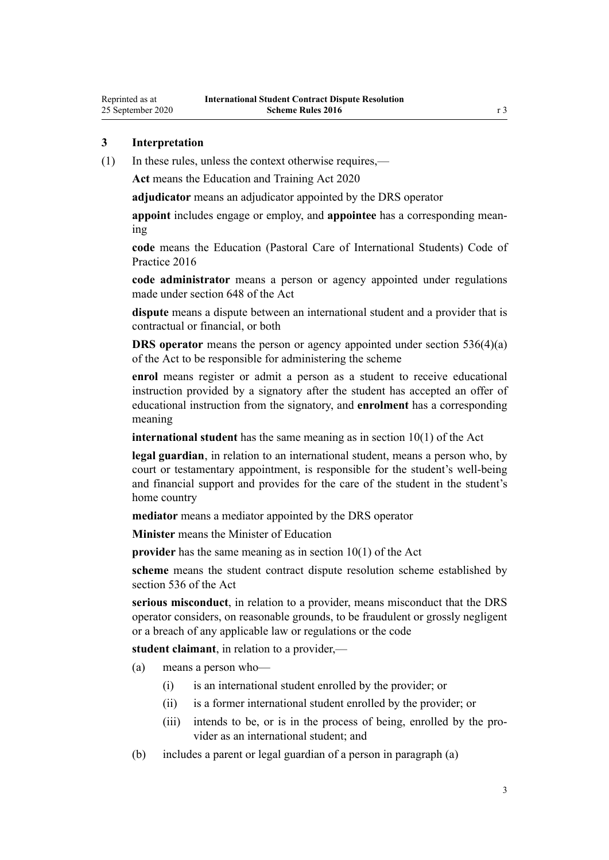<span id="page-2-0"></span>Reprinted as at 25 September 2020

(1) In these rules, unless the context otherwise requires,—

**Act** means the [Education and Training Act 2020](http://legislation.govt.nz/pdflink.aspx?id=LMS170674)

**adjudicator** means an adjudicator appointed by the DRS operator

**appoint** includes engage or employ, and **appointee** has a corresponding meaning

**code** means the [Education \(Pastoral Care of International Students\) Code of](http://legislation.govt.nz/pdflink.aspx?id=DLM6748146) [Practice 2016](http://legislation.govt.nz/pdflink.aspx?id=DLM6748146)

**code administrator** means a person or agency appointed under regulations made under [section 648](http://legislation.govt.nz/pdflink.aspx?id=LMS348617) of the Act

**dispute** means a dispute between an international student and a provider that is contractual or financial, or both

**DRS** operator means the person or agency appointed under [section 536\(4\)\(a\)](http://legislation.govt.nz/pdflink.aspx?id=LMS267818) of the Act to be responsible for administering the scheme

**enrol** means register or admit a person as a student to receive educational instruction provided by a signatory after the student has accepted an offer of educational instruction from the signatory, and **enrolment** has a corresponding meaning

**international student** has the same meaning as in [section 10\(1\)](http://legislation.govt.nz/pdflink.aspx?id=LMS171311) of the Act

**legal guardian**, in relation to an international student, means a person who, by court or testamentary appointment, is responsible for the student's well-being and financial support and provides for the care of the student in the student's home country

**mediator** means a mediator appointed by the DRS operator

**Minister** means the Minister of Education

**provider** has the same meaning as in [section 10\(1\)](http://legislation.govt.nz/pdflink.aspx?id=LMS171311) of the Act

**scheme** means the student contract dispute resolution scheme established by [section 536](http://legislation.govt.nz/pdflink.aspx?id=LMS267818) of the Act

**serious misconduct**, in relation to a provider, means misconduct that the DRS operator considers, on reasonable grounds, to be fraudulent or grossly negligent or a breach of any applicable law or regulations or the code

**student claimant**, in relation to a provider,—

(a) means a person who—

- (i) is an international student enrolled by the provider; or
- (ii) is a former international student enrolled by the provider; or
- (iii) intends to be, or is in the process of being, enrolled by the provider as an international student; and
- (b) includes a parent or legal guardian of a person in paragraph (a)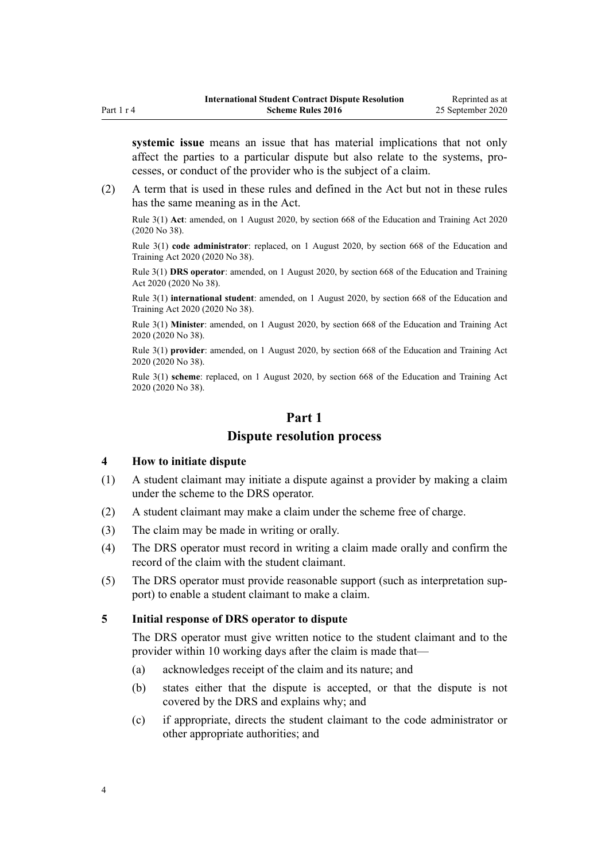<span id="page-3-0"></span>**systemic issue** means an issue that has material implications that not only affect the parties to a particular dispute but also relate to the systems, processes, or conduct of the provider who is the subject of a claim.

(2) A term that is used in these rules and defined in the Act but not in these rules has the same meaning as in the Act.

Rule 3(1) **Act**: amended, on 1 August 2020, by [section 668](http://legislation.govt.nz/pdflink.aspx?id=LMS367713) of the Education and Training Act 2020 (2020 No 38).

Rule 3(1) **code administrator**: replaced, on 1 August 2020, by [section 668](http://legislation.govt.nz/pdflink.aspx?id=LMS367713) of the Education and Training Act 2020 (2020 No 38).

Rule 3(1) **DRS operator**: amended, on 1 August 2020, by [section 668](http://legislation.govt.nz/pdflink.aspx?id=LMS367713) of the Education and Training Act 2020 (2020 No 38).

Rule 3(1) **international student**: amended, on 1 August 2020, by [section 668](http://legislation.govt.nz/pdflink.aspx?id=LMS367713) of the Education and Training Act 2020 (2020 No 38).

Rule 3(1) **Minister**: amended, on 1 August 2020, by [section 668](http://legislation.govt.nz/pdflink.aspx?id=LMS367713) of the Education and Training Act 2020 (2020 No 38).

Rule 3(1) **provider**: amended, on 1 August 2020, by [section 668](http://legislation.govt.nz/pdflink.aspx?id=LMS367713) of the Education and Training Act 2020 (2020 No 38).

Rule 3(1) **scheme**: replaced, on 1 August 2020, by [section 668](http://legislation.govt.nz/pdflink.aspx?id=LMS367713) of the Education and Training Act 2020 (2020 No 38).

# **Part 1**

# **Dispute resolution process**

#### **4 How to initiate dispute**

- (1) A student claimant may initiate a dispute against a provider by making a claim under the scheme to the DRS operator.
- (2) A student claimant may make a claim under the scheme free of charge.
- (3) The claim may be made in writing or orally.
- (4) The DRS operator must record in writing a claim made orally and confirm the record of the claim with the student claimant.
- (5) The DRS operator must provide reasonable support (such as interpretation support) to enable a student claimant to make a claim.

#### **5 Initial response of DRS operator to dispute**

The DRS operator must give written notice to the student claimant and to the provider within 10 working days after the claim is made that—

- (a) acknowledges receipt of the claim and its nature; and
- (b) states either that the dispute is accepted, or that the dispute is not covered by the DRS and explains why; and
- (c) if appropriate, directs the student claimant to the code administrator or other appropriate authorities; and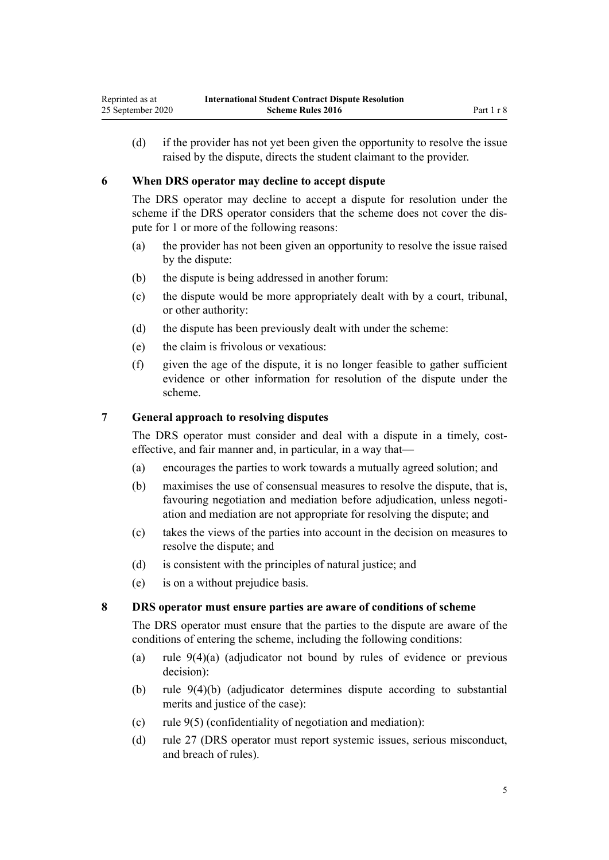<span id="page-4-0"></span>(d) if the provider has not yet been given the opportunity to resolve the issue raised by the dispute, directs the student claimant to the provider.

# **6 When DRS operator may decline to accept dispute**

The DRS operator may decline to accept a dispute for resolution under the scheme if the DRS operator considers that the scheme does not cover the dispute for 1 or more of the following reasons:

- (a) the provider has not been given an opportunity to resolve the issue raised by the dispute:
- (b) the dispute is being addressed in another forum:
- (c) the dispute would be more appropriately dealt with by a court, tribunal, or other authority:
- (d) the dispute has been previously dealt with under the scheme:
- (e) the claim is frivolous or vexatious:
- (f) given the age of the dispute, it is no longer feasible to gather sufficient evidence or other information for resolution of the dispute under the scheme.

# **7 General approach to resolving disputes**

The DRS operator must consider and deal with a dispute in a timely, costeffective, and fair manner and, in particular, in a way that—

- (a) encourages the parties to work towards a mutually agreed solution; and
- (b) maximises the use of consensual measures to resolve the dispute, that is, favouring negotiation and mediation before adjudication, unless negotiation and mediation are not appropriate for resolving the dispute; and
- (c) takes the views of the parties into account in the decision on measures to resolve the dispute; and
- (d) is consistent with the principles of natural justice; and
- (e) is on a without prejudice basis.

#### **8 DRS operator must ensure parties are aware of conditions of scheme**

The DRS operator must ensure that the parties to the dispute are aware of the conditions of entering the scheme, including the following conditions:

- (a) [rule 9\(4\)\(a\)](#page-5-0) (adjudicator not bound by rules of evidence or previous decision):
- (b) [rule 9\(4\)\(b\)](#page-5-0) (adjudicator determines dispute according to substantial merits and justice of the case):
- (c) [rule 9\(5\)](#page-5-0) (confidentiality of negotiation and mediation):
- (d) [rule 27](#page-10-0) (DRS operator must report systemic issues, serious misconduct, and breach of rules).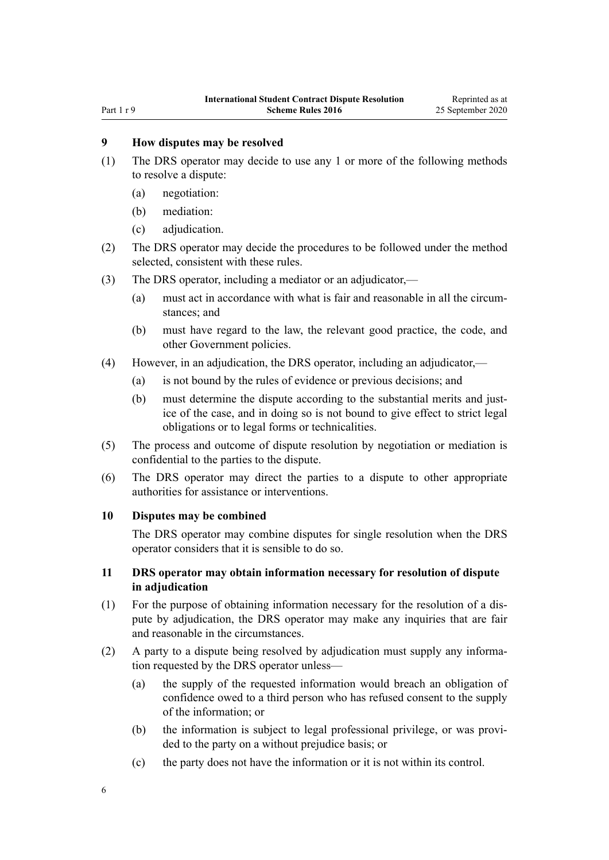# <span id="page-5-0"></span>**9 How disputes may be resolved**

- (1) The DRS operator may decide to use any 1 or more of the following methods to resolve a dispute:
	- (a) negotiation:
	- (b) mediation:
	- (c) adjudication.
- (2) The DRS operator may decide the procedures to be followed under the method selected, consistent with these rules.
- (3) The DRS operator, including a mediator or an adjudicator,—
	- (a) must act in accordance with what is fair and reasonable in all the circumstances; and
	- (b) must have regard to the law, the relevant good practice, the code, and other Government policies.
- (4) However, in an adjudication, the DRS operator, including an adjudicator,—
	- (a) is not bound by the rules of evidence or previous decisions; and
	- (b) must determine the dispute according to the substantial merits and justice of the case, and in doing so is not bound to give effect to strict legal obligations or to legal forms or technicalities.
- (5) The process and outcome of dispute resolution by negotiation or mediation is confidential to the parties to the dispute.
- (6) The DRS operator may direct the parties to a dispute to other appropriate authorities for assistance or interventions.

#### **10 Disputes may be combined**

The DRS operator may combine disputes for single resolution when the DRS operator considers that it is sensible to do so.

# **11 DRS operator may obtain information necessary for resolution of dispute in adjudication**

- (1) For the purpose of obtaining information necessary for the resolution of a dispute by adjudication, the DRS operator may make any inquiries that are fair and reasonable in the circumstances.
- (2) A party to a dispute being resolved by adjudication must supply any information requested by the DRS operator unless—
	- (a) the supply of the requested information would breach an obligation of confidence owed to a third person who has refused consent to the supply of the information; or
	- (b) the information is subject to legal professional privilege, or was provided to the party on a without prejudice basis; or
	- (c) the party does not have the information or it is not within its control.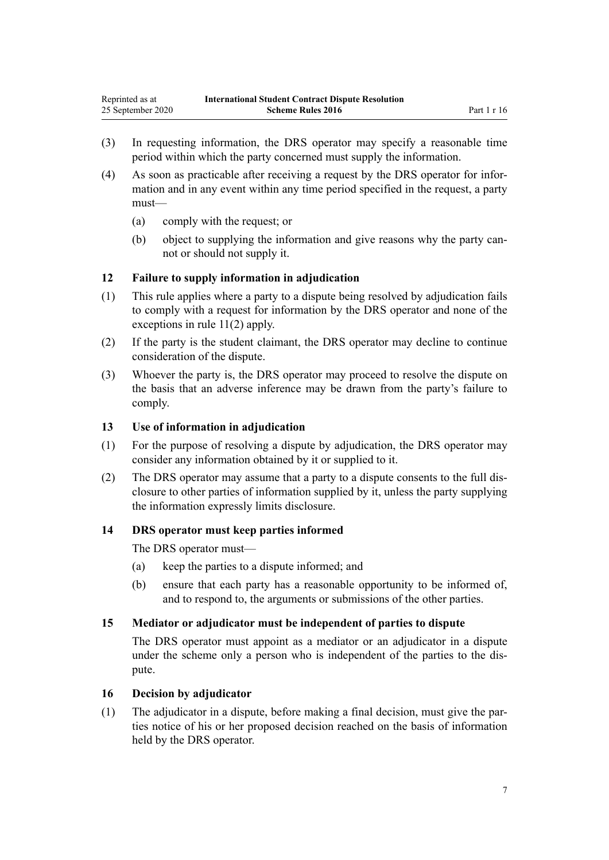- <span id="page-6-0"></span>(3) In requesting information, the DRS operator may specify a reasonable time period within which the party concerned must supply the information.
- (4) As soon as practicable after receiving a request by the DRS operator for information and in any event within any time period specified in the request, a party must—
	- (a) comply with the request; or
	- (b) object to supplying the information and give reasons why the party cannot or should not supply it.

## **12 Failure to supply information in adjudication**

- (1) This rule applies where a party to a dispute being resolved by adjudication fails to comply with a request for information by the DRS operator and none of the exceptions in [rule 11\(2\)](#page-5-0) apply.
- (2) If the party is the student claimant, the DRS operator may decline to continue consideration of the dispute.
- (3) Whoever the party is, the DRS operator may proceed to resolve the dispute on the basis that an adverse inference may be drawn from the party's failure to comply.

#### **13 Use of information in adjudication**

- (1) For the purpose of resolving a dispute by adjudication, the DRS operator may consider any information obtained by it or supplied to it.
- (2) The DRS operator may assume that a party to a dispute consents to the full disclosure to other parties of information supplied by it, unless the party supplying the information expressly limits disclosure.

## **14 DRS operator must keep parties informed**

The DRS operator must—

- (a) keep the parties to a dispute informed; and
- (b) ensure that each party has a reasonable opportunity to be informed of, and to respond to, the arguments or submissions of the other parties.

#### **15 Mediator or adjudicator must be independent of parties to dispute**

The DRS operator must appoint as a mediator or an adjudicator in a dispute under the scheme only a person who is independent of the parties to the dispute.

#### **16 Decision by adjudicator**

(1) The adjudicator in a dispute, before making a final decision, must give the parties notice of his or her proposed decision reached on the basis of information held by the DRS operator.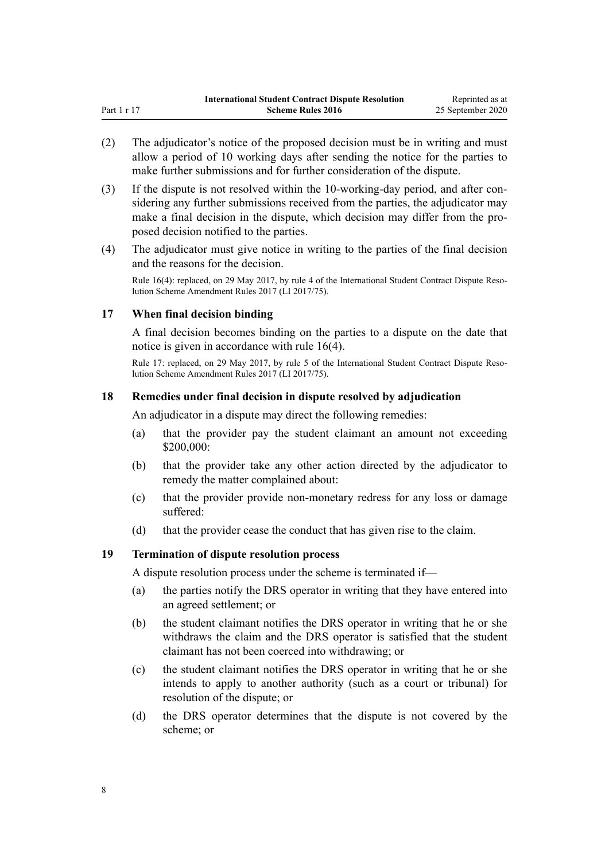- <span id="page-7-0"></span>(2) The adjudicator's notice of the proposed decision must be in writing and must allow a period of 10 working days after sending the notice for the parties to make further submissions and for further consideration of the dispute.
- (3) If the dispute is not resolved within the 10-working-day period, and after considering any further submissions received from the parties, the adjudicator may make a final decision in the dispute, which decision may differ from the proposed decision notified to the parties.
- (4) The adjudicator must give notice in writing to the parties of the final decision and the reasons for the decision.

Rule 16(4): replaced, on 29 May 2017, by [rule 4](http://legislation.govt.nz/pdflink.aspx?id=DLM7210708) of the International Student Contract Dispute Resolution Scheme Amendment Rules 2017 (LI 2017/75).

# **17 When final decision binding**

A final decision becomes binding on the parties to a dispute on the date that notice is given in accordance with [rule 16\(4\).](#page-6-0)

Rule 17: replaced, on 29 May 2017, by [rule 5](http://legislation.govt.nz/pdflink.aspx?id=DLM7210709) of the International Student Contract Dispute Resolution Scheme Amendment Rules 2017 (LI 2017/75).

# **18 Remedies under final decision in dispute resolved by adjudication**

An adjudicator in a dispute may direct the following remedies:

- (a) that the provider pay the student claimant an amount not exceeding \$200,000:
- (b) that the provider take any other action directed by the adjudicator to remedy the matter complained about:
- (c) that the provider provide non-monetary redress for any loss or damage suffered:
- (d) that the provider cease the conduct that has given rise to the claim.

#### **19 Termination of dispute resolution process**

A dispute resolution process under the scheme is terminated if—

- (a) the parties notify the DRS operator in writing that they have entered into an agreed settlement; or
- (b) the student claimant notifies the DRS operator in writing that he or she withdraws the claim and the DRS operator is satisfied that the student claimant has not been coerced into withdrawing; or
- (c) the student claimant notifies the DRS operator in writing that he or she intends to apply to another authority (such as a court or tribunal) for resolution of the dispute; or
- (d) the DRS operator determines that the dispute is not covered by the scheme; or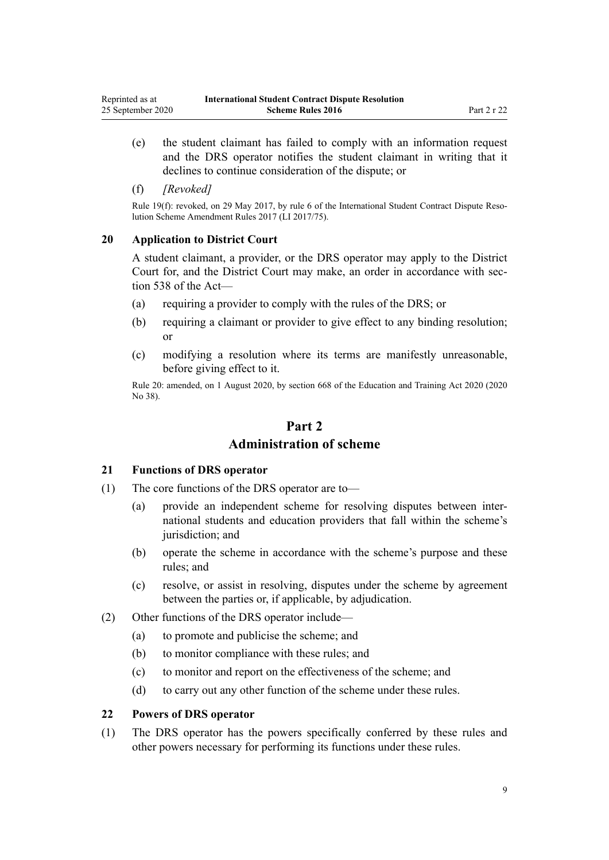<span id="page-8-0"></span>(e) the student claimant has failed to comply with an information request and the DRS operator notifies the student claimant in writing that it declines to continue consideration of the dispute; or

#### (f) *[Revoked]*

Rule 19(f): revoked, on 29 May 2017, by [rule 6](http://legislation.govt.nz/pdflink.aspx?id=DLM7210711) of the International Student Contract Dispute Resolution Scheme Amendment Rules 2017 (LI 2017/75).

#### **20 Application to District Court**

A student claimant, a provider, or the DRS operator may apply to the District Court for, and the District Court may make, an order in accordance with [sec](http://legislation.govt.nz/pdflink.aspx?id=LMS267820)[tion 538](http://legislation.govt.nz/pdflink.aspx?id=LMS267820) of the Act—

- (a) requiring a provider to comply with the rules of the DRS; or
- (b) requiring a claimant or provider to give effect to any binding resolution; or
- (c) modifying a resolution where its terms are manifestly unreasonable, before giving effect to it.

Rule 20: amended, on 1 August 2020, by [section 668](http://legislation.govt.nz/pdflink.aspx?id=LMS367713) of the Education and Training Act 2020 (2020 No 38).

# **Part 2 Administration of scheme**

#### **21 Functions of DRS operator**

- (1) The core functions of the DRS operator are to—
	- (a) provide an independent scheme for resolving disputes between international students and education providers that fall within the scheme's jurisdiction; and
	- (b) operate the scheme in accordance with the scheme's purpose and these rules; and
	- (c) resolve, or assist in resolving, disputes under the scheme by agreement between the parties or, if applicable, by adjudication.
- (2) Other functions of the DRS operator include—
	- (a) to promote and publicise the scheme; and
	- (b) to monitor compliance with these rules; and
	- (c) to monitor and report on the effectiveness of the scheme; and
	- (d) to carry out any other function of the scheme under these rules.

#### **22 Powers of DRS operator**

(1) The DRS operator has the powers specifically conferred by these rules and other powers necessary for performing its functions under these rules.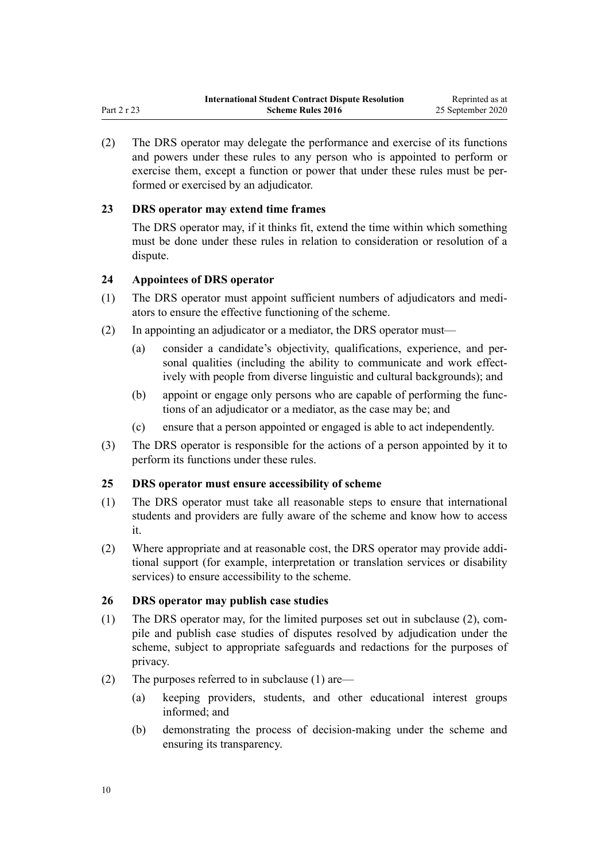<span id="page-9-0"></span>(2) The DRS operator may delegate the performance and exercise of its functions and powers under these rules to any person who is appointed to perform or exercise them, except a function or power that under these rules must be performed or exercised by an adjudicator.

# **23 DRS operator may extend time frames**

The DRS operator may, if it thinks fit, extend the time within which something must be done under these rules in relation to consideration or resolution of a dispute.

# **24 Appointees of DRS operator**

- (1) The DRS operator must appoint sufficient numbers of adjudicators and mediators to ensure the effective functioning of the scheme.
- (2) In appointing an adjudicator or a mediator, the DRS operator must—
	- (a) consider a candidate's objectivity, qualifications, experience, and personal qualities (including the ability to communicate and work effectively with people from diverse linguistic and cultural backgrounds); and
	- (b) appoint or engage only persons who are capable of performing the functions of an adjudicator or a mediator, as the case may be; and
	- (c) ensure that a person appointed or engaged is able to act independently.
- (3) The DRS operator is responsible for the actions of a person appointed by it to perform its functions under these rules.

#### **25 DRS operator must ensure accessibility of scheme**

- (1) The DRS operator must take all reasonable steps to ensure that international students and providers are fully aware of the scheme and know how to access it.
- (2) Where appropriate and at reasonable cost, the DRS operator may provide additional support (for example, interpretation or translation services or disability services) to ensure accessibility to the scheme.

#### **26 DRS operator may publish case studies**

- (1) The DRS operator may, for the limited purposes set out in subclause (2), compile and publish case studies of disputes resolved by adjudication under the scheme, subject to appropriate safeguards and redactions for the purposes of privacy.
- (2) The purposes referred to in subclause (1) are—
	- (a) keeping providers, students, and other educational interest groups informed; and
	- (b) demonstrating the process of decision-making under the scheme and ensuring its transparency.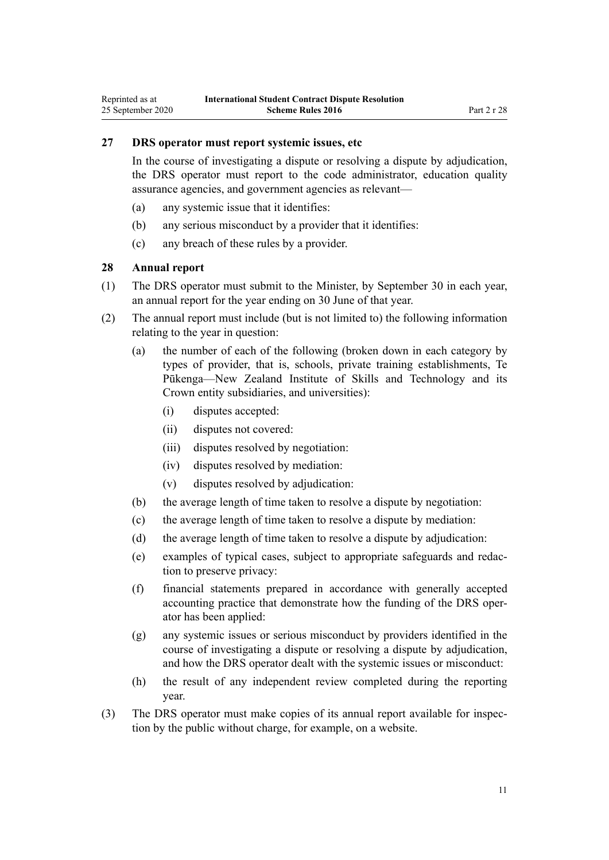# <span id="page-10-0"></span>**27 DRS operator must report systemic issues, etc**

In the course of investigating a dispute or resolving a dispute by adjudication, the DRS operator must report to the code administrator, education quality assurance agencies, and government agencies as relevant—

- (a) any systemic issue that it identifies:
- (b) any serious misconduct by a provider that it identifies:
- (c) any breach of these rules by a provider.

# **28 Annual report**

- (1) The DRS operator must submit to the Minister, by September 30 in each year, an annual report for the year ending on 30 June of that year.
- (2) The annual report must include (but is not limited to) the following information relating to the year in question:
	- (a) the number of each of the following (broken down in each category by types of provider, that is, schools, private training establishments, Te Pūkenga—New Zealand Institute of Skills and Technology and its Crown entity subsidiaries, and universities):
		- (i) disputes accepted:
		- (ii) disputes not covered:
		- (iii) disputes resolved by negotiation:
		- (iv) disputes resolved by mediation:
		- (v) disputes resolved by adjudication:
	- (b) the average length of time taken to resolve a dispute by negotiation:
	- (c) the average length of time taken to resolve a dispute by mediation:
	- (d) the average length of time taken to resolve a dispute by adjudication:
	- (e) examples of typical cases, subject to appropriate safeguards and redaction to preserve privacy:
	- (f) financial statements prepared in accordance with generally accepted accounting practice that demonstrate how the funding of the DRS operator has been applied:
	- (g) any systemic issues or serious misconduct by providers identified in the course of investigating a dispute or resolving a dispute by adjudication, and how the DRS operator dealt with the systemic issues or misconduct:
	- (h) the result of any independent review completed during the reporting year.
- (3) The DRS operator must make copies of its annual report available for inspection by the public without charge, for example, on a website.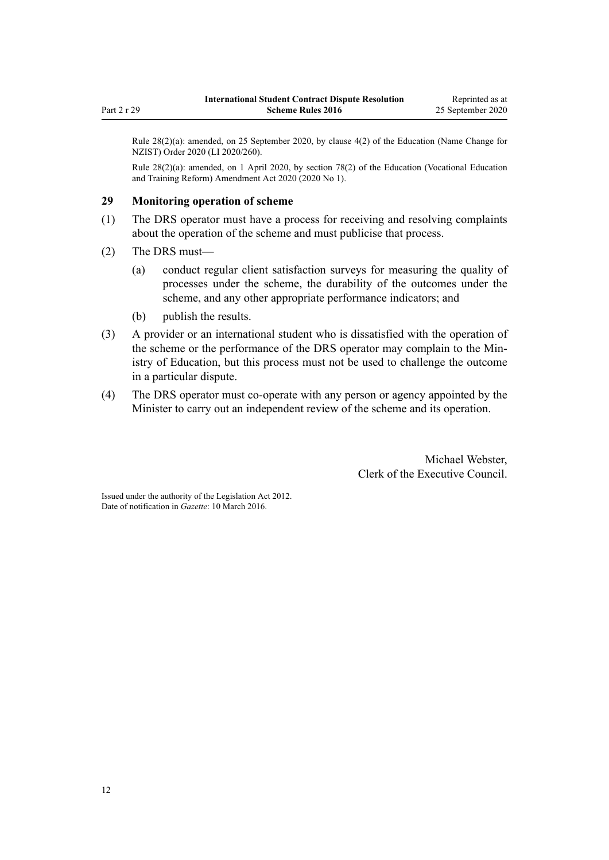<span id="page-11-0"></span>Rule 28(2)(a): amended, on 25 September 2020, by [clause 4\(2\)](http://legislation.govt.nz/pdflink.aspx?id=LMS408582) of the Education (Name Change for NZIST) Order 2020 (LI 2020/260).

Rule 28(2)(a): amended, on 1 April 2020, by [section 78\(2\)](http://legislation.govt.nz/pdflink.aspx?id=LMS245981) of the Education (Vocational Education and Training Reform) Amendment Act 2020 (2020 No 1).

#### **29 Monitoring operation of scheme**

- (1) The DRS operator must have a process for receiving and resolving complaints about the operation of the scheme and must publicise that process.
- (2) The DRS must—
	- (a) conduct regular client satisfaction surveys for measuring the quality of processes under the scheme, the durability of the outcomes under the scheme, and any other appropriate performance indicators; and
	- (b) publish the results.
- (3) A provider or an international student who is dissatisfied with the operation of the scheme or the performance of the DRS operator may complain to the Ministry of Education, but this process must not be used to challenge the outcome in a particular dispute.
- (4) The DRS operator must co-operate with any person or agency appointed by the Minister to carry out an independent review of the scheme and its operation.

Michael Webster, Clerk of the Executive Council.

Issued under the authority of the [Legislation Act 2012](http://legislation.govt.nz/pdflink.aspx?id=DLM2997643). Date of notification in *Gazette*: 10 March 2016.